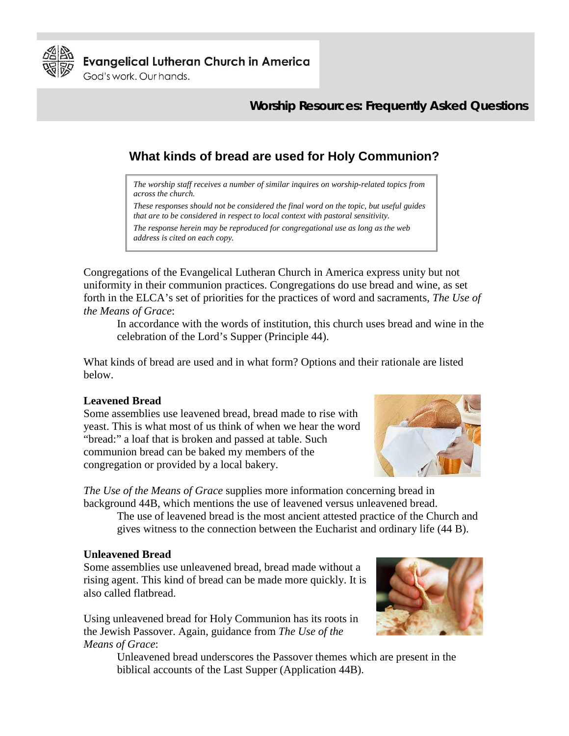

**Evangelical Lutheran Church in America** 

God's work, Our hands.

## **Worship Resources: Frequently Asked Questions**

# **What kinds of bread are used for Holy Communion?**

*The worship staff receives a number of similar inquires on worship-related topics from across the church.* 

*These responses should not be considered the final word on the topic, but useful guides that are to be considered in respect to local context with pastoral sensitivity.* 

*The response herein may be reproduced for congregational use as long as the web address is cited on each copy.* 

Congregations of the Evangelical Lutheran Church in America express unity but not uniformity in their communion practices. Congregations do use bread and wine, as set forth in the ELCA's set of priorities for the practices of word and sacraments, *The Use of the Means of Grace*:

In accordance with the words of institution, this church uses bread and wine in the celebration of the Lord's Supper (Principle 44).

What kinds of bread are used and in what form? Options and their rationale are listed below.

#### **Leavened Bread**

Some assemblies use leavened bread, bread made to rise with yeast. This is what most of us think of when we hear the word "bread:" a loaf that is broken and passed at table. Such communion bread can be baked my members of the congregation or provided by a local bakery.



*The Use of the Means of Grace* supplies more information concerning bread in background 44B, which mentions the use of leavened versus unleavened bread.

The use of leavened bread is the most ancient attested practice of the Church and gives witness to the connection between the Eucharist and ordinary life (44 B).

#### **Unleavened Bread**

Some assemblies use unleavened bread, bread made without a rising agent. This kind of bread can be made more quickly. It is also called flatbread.

Using unleavened bread for Holy Communion has its roots in the Jewish Passover. Again, guidance from *The Use of the Means of Grace*:



Unleavened bread underscores the Passover themes which are present in the biblical accounts of the Last Supper (Application 44B).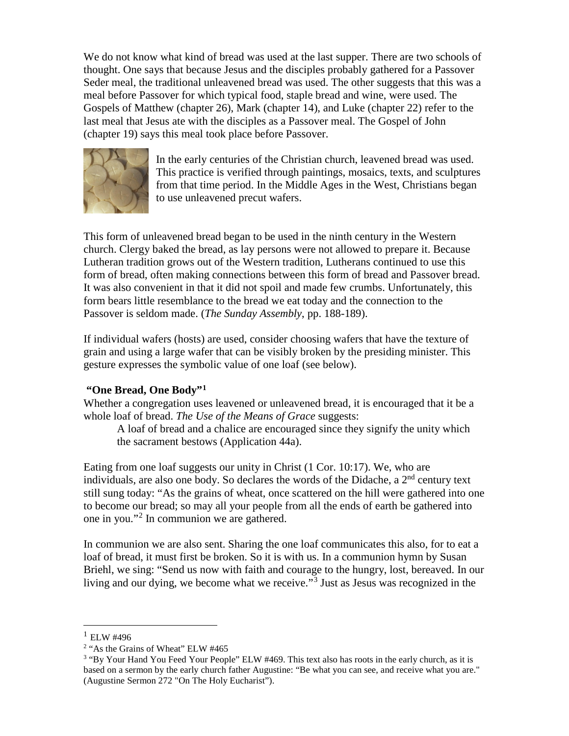We do not know what kind of bread was used at the last supper. There are two schools of thought. One says that because Jesus and the disciples probably gathered for a Passover Seder meal, the traditional unleavened bread was used. The other suggests that this was a meal before Passover for which typical food, staple bread and wine, were used. The Gospels of Matthew (chapter 26), Mark (chapter 14), and Luke (chapter 22) refer to the last meal that Jesus ate with the disciples as a Passover meal. The Gospel of John (chapter 19) says this meal took place before Passover.



In the early centuries of the Christian church, leavened bread was used. This practice is verified through paintings, mosaics, texts, and sculptures from that time period. In the Middle Ages in the West, Christians began to use unleavened precut wafers.

This form of unleavened bread began to be used in the ninth century in the Western church. Clergy baked the bread, as lay persons were not allowed to prepare it. Because Lutheran tradition grows out of the Western tradition, Lutherans continued to use this form of bread, often making connections between this form of bread and Passover bread. It was also convenient in that it did not spoil and made few crumbs. Unfortunately, this form bears little resemblance to the bread we eat today and the connection to the Passover is seldom made. (*The Sunday Assembly*, pp. 188-189).

If individual wafers (hosts) are used, consider choosing wafers that have the texture of grain and using a large wafer that can be visibly broken by the presiding minister. This gesture expresses the symbolic value of one loaf (see below).

### **"One Bread, One Body"[1](#page-1-0)**

Whether a congregation uses leavened or unleavened bread, it is encouraged that it be a whole loaf of bread. *The Use of the Means of Grace* suggests:

A loaf of bread and a chalice are encouraged since they signify the unity which the sacrament bestows (Application 44a).

Eating from one loaf suggests our unity in Christ (1 Cor. 10:17). We, who are individuals, are also one body. So declares the words of the Didache, a  $2<sup>nd</sup>$  century text still sung today: "As the grains of wheat, once scattered on the hill were gathered into one to become our bread; so may all your people from all the ends of earth be gathered into one in you."[2](#page-1-1) In communion we are gathered.

In communion we are also sent. Sharing the one loaf communicates this also, for to eat a loaf of bread, it must first be broken. So it is with us. In a communion hymn by Susan Briehl, we sing: "Send us now with faith and courage to the hungry, lost, bereaved. In our living and our dying, we become what we receive."<sup>[3](#page-1-2)</sup> Just as Jesus was recognized in the

<span id="page-1-0"></span> $^{1}$  ELW #496

<sup>&</sup>lt;sup>2</sup> "As the Grains of Wheat" ELW #465

<span id="page-1-2"></span><span id="page-1-1"></span><sup>&</sup>lt;sup>3</sup> "By Your Hand You Feed Your People" ELW #469. This text also has roots in the early church, as it is based on a sermon by the early church father Augustine: "Be what you can see, and receive what you are." (Augustine Sermon 272 "On The Holy Eucharist").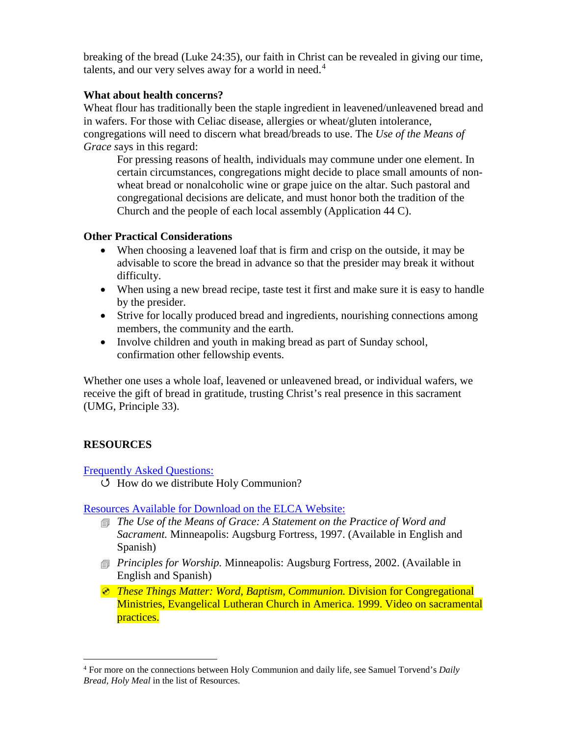breaking of the bread (Luke 24:35), our faith in Christ can be revealed in giving our time, talents, and our very selves away for a world in need.<sup>[4](#page-2-0)</sup>

#### **What about health concerns?**

Wheat flour has traditionally been the staple ingredient in leavened/unleavened bread and in wafers. For those with Celiac disease, allergies or wheat/gluten intolerance, congregations will need to discern what bread/breads to use. The *Use of the Means of Grace s*ays in this regard:

For pressing reasons of health, individuals may commune under one element. In certain circumstances, congregations might decide to place small amounts of nonwheat bread or nonalcoholic wine or grape juice on the altar. Such pastoral and congregational decisions are delicate, and must honor both the tradition of the Church and the people of each local assembly (Application 44 C).

#### **Other Practical Considerations**

- When choosing a leavened loaf that is firm and crisp on the outside, it may be advisable to score the bread in advance so that the presider may break it without difficulty.
- When using a new bread recipe, taste test it first and make sure it is easy to handle by the presider.
- Strive for locally produced bread and ingredients, nourishing connections among members, the community and the earth.
- Involve children and youth in making bread as part of Sunday school, confirmation other fellowship events.

Whether one uses a whole loaf, leavened or unleavened bread, or individual wafers, we receive the gift of bread in gratitude, trusting Christ's real presence in this sacrament (UMG, Principle 33).

### **RESOURCES**

### [Frequently Asked Questions:](http://www.elca.org/worshipfaq)

 $U$  How do we distribute Holy Communion?

[Resources Available for Download on the ELCA Website:](http://www.elca.org/en/Resources/Worship)

- *The Use of the Means of Grace: A Statement on the Practice of Word and Sacrament.* Minneapolis: Augsburg Fortress, 1997. (Available in English and Spanish)
- *Principles for Worship.* Minneapolis: Augsburg Fortress, 2002. (Available in English and Spanish)
- *These Things Matter: Word, Baptism, Communion.* Division for Congregational Ministries, Evangelical Lutheran Church in America. 1999. Video on sacramental practices.

<span id="page-2-0"></span> <sup>4</sup> For more on the connections between Holy Communion and daily life, see Samuel Torvend's *Daily Bread, Holy Meal* in the list of Resources.